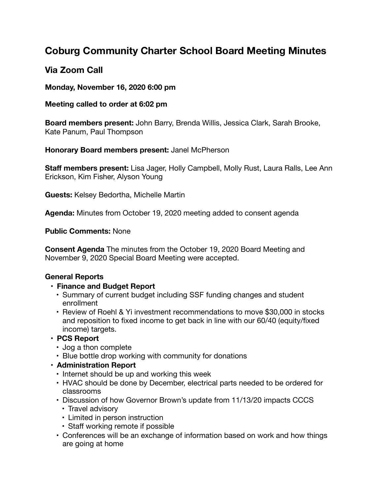# **Coburg Community Charter School Board Meeting Minutes**

## **Via Zoom Call**

#### **Monday, November 16, 2020 6:00 pm**

#### **Meeting called to order at 6:02 pm**

**Board members present:** John Barry, Brenda Willis, Jessica Clark, Sarah Brooke, Kate Panum, Paul Thompson

### **Honorary Board members present:** Janel McPherson

**Staff members present:** Lisa Jager, Holly Campbell, Molly Rust, Laura Ralls, Lee Ann Erickson, Kim Fisher, Alyson Young

**Guests:** Kelsey Bedortha, Michelle Martin

**Agenda:** Minutes from October 19, 2020 meeting added to consent agenda

### **Public Comments:** None

**Consent Agenda** The minutes from the October 19, 2020 Board Meeting and November 9, 2020 Special Board Meeting were accepted.

## **General Reports**

- **• Finance and Budget Report**
	- Summary of current budget including SSF funding changes and student enrollment
	- Review of Roehl & Yi investment recommendations to move \$30,000 in stocks and reposition to fixed income to get back in line with our 60/40 (equity/fixed income) targets.

## **• PCS Report**

- Jog a thon complete
- Blue bottle drop working with community for donations
- **• Administration Report**
	- Internet should be up and working this week
	- HVAC should be done by December, electrical parts needed to be ordered for classrooms
	- Discussion of how Governor Brown's update from 11/13/20 impacts CCCS
		- Travel advisory
		- Limited in person instruction
		- Staff working remote if possible
	- Conferences will be an exchange of information based on work and how things are going at home